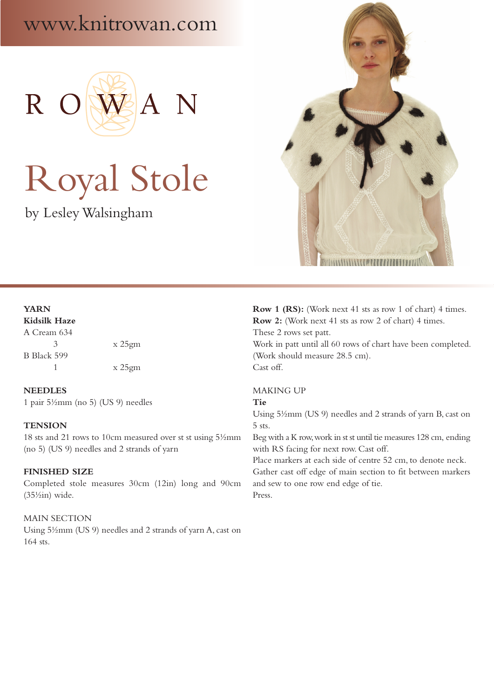# www.knitrowan.com



# Royal Stole

by Lesley Walsingham



# **YARN Kidsilk Haze** A Cream 634

3 x 25gm B Black 599 1 x 25gm

**NEEDLES** 1 pair 5½mm (no 5) (US 9) needles

## **TENSION**

18 sts and 21 rows to 10cm measured over st st using 5½mm (no 5) (US 9) needles and 2 strands of yarn

## **FINISHED SIZE**

Completed stole measures 30cm (12in) long and 90cm  $(35\frac{1}{2}in)$  wide.

#### MAIN SECTION

Using 5½mm (US 9) needles and 2 strands of yarn A, cast on 164 sts.

**Row 1 (RS):** (Work next 41 sts as row 1 of chart) 4 times. **Row 2:** (Work next 41 sts as row 2 of chart) 4 times. These 2 rows set patt. Work in patt until all 60 rows of chart have been completed. (Work should measure 28.5 cm). Cast off.

#### MAKING UP

#### **Tie**

Using 5½mm (US 9) needles and 2 strands of yarn B, cast on 5 sts.

Beg with a K row, work in st st until tie measures 128 cm, ending with RS facing for next row. Cast off.

Place markers at each side of centre 52 cm, to denote neck. Gather cast off edge of main section to fit between markers and sew to one row end edge of tie. Press.